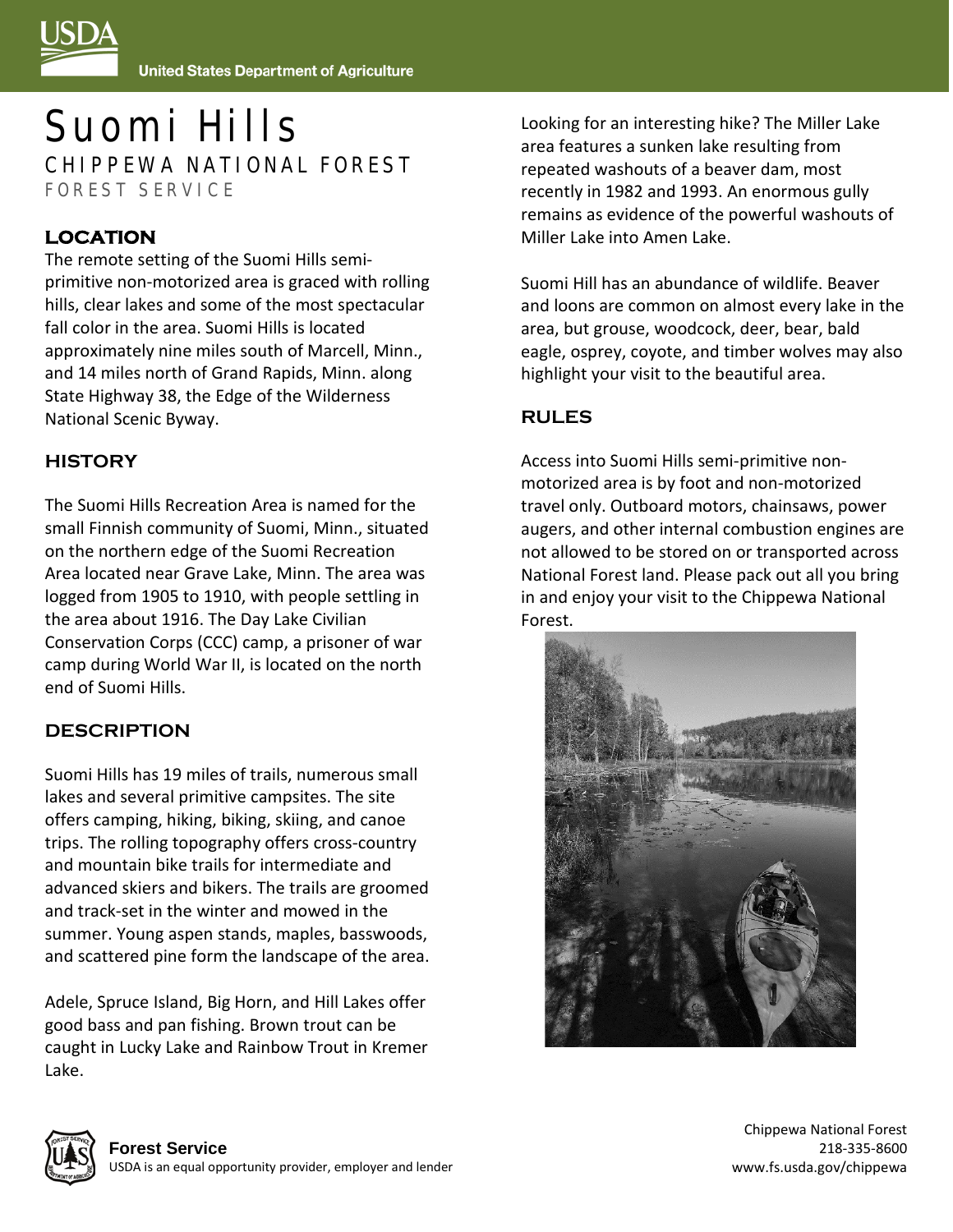

# Suomi Hills CHIPPEWA NATIONAL FOREST FOREST SERVICE

## **LOCATION**

The remote setting of the Suomi Hills semiprimitive non-motorized area is graced with rolling hills, clear lakes and some of the most spectacular fall color in the area. Suomi Hills is located approximately nine miles south of Marcell, Minn., and 14 miles north of Grand Rapids, Minn. along State Highway 38, the Edge of the Wilderness National Scenic Byway.

#### **HISTORY**

The Suomi Hills Recreation Area is named for the small Finnish community of Suomi, Minn., situated on the northern edge of the Suomi Recreation Area located near Grave Lake, Minn. The area was logged from 1905 to 1910, with people settling in the area about 1916. The Day Lake Civilian Conservation Corps (CCC) camp, a prisoner of war camp during World War II, is located on the north end of Suomi Hills.

### **DESCRIPTION**

Suomi Hills has 19 miles of trails, numerous small lakes and several primitive campsites. The site offers camping, hiking, biking, skiing, and canoe trips. The rolling topography offers cross-country and mountain bike trails for intermediate and advanced skiers and bikers. The trails are groomed and track-set in the winter and mowed in the summer. Young aspen stands, maples, basswoods, and scattered pine form the landscape of the area.

Adele, Spruce Island, Big Horn, and Hill Lakes offer good bass and pan fishing. Brown trout can be caught in Lucky Lake and Rainbow Trout in Kremer Lake.

Looking for an interesting hike? The Miller Lake area features a sunken lake resulting from repeated washouts of a beaver dam, most recently in 1982 and 1993. An enormous gully remains as evidence of the powerful washouts of Miller Lake into Amen Lake.

Suomi Hill has an abundance of wildlife. Beaver and loons are common on almost every lake in the area, but grouse, woodcock, deer, bear, bald eagle, osprey, coyote, and timber wolves may also highlight your visit to the beautiful area.

#### **RULES**

Access into Suomi Hills semi-primitive nonmotorized area is by foot and non-motorized travel only. Outboard motors, chainsaws, power augers, and other internal combustion engines are not allowed to be stored on or transported across National Forest land. Please pack out all you bring in and enjoy your visit to the Chippewa National Forest.